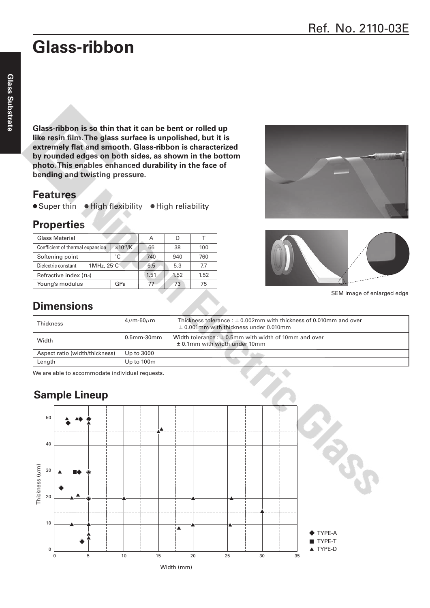# **Glass-ribbon**

**Glass-ribbon is so thin that it can be bent or rolled up like resin film. The glass surface is unpolished, but it is extremely flat and smooth. Glass-ribbon is characterized by rounded edges on both sides, as shown in the bottom photo. This enables enhanced durability in the face of bending and twisting pressure.**

#### **Features**

● Super thin ● High flexibility ● High reliability

### **Properties**

| <b>Glass Material</b>                          |  |                           | А    |      |      |
|------------------------------------------------|--|---------------------------|------|------|------|
| Coefficient of thermal expansion               |  | $\times$ 10 $\frac{7}{K}$ | 66   | 38   | 100  |
| Softening point                                |  | ۰C                        | 740  | 940  | 760  |
| $1MHz$ , $25^{\circ}$ C<br>Dielectric constant |  |                           | 6.5  | 5.3  | 7.7  |
| Refractive index (nd)                          |  |                           | 1.51 | 1.52 | 1.52 |
| Young's modulus                                |  | GPa                       | 77   | 73   | 75   |





SEM image of enlarged edge

## **Dimensions**

| <b>Thickness</b>               | $4\mu$ m-50 $\mu$ m | Thickness tolerance : $\pm$ 0.002mm with thickness of 0.010mm and over<br>$\pm$ 0.001mm with thickness under 0.010mm |
|--------------------------------|---------------------|----------------------------------------------------------------------------------------------------------------------|
| Width                          | $0.5$ mm- $30$ mm   | Width tolerance : $\pm$ 0.5mm with width of 10mm and over<br>$\pm$ 0.1mm with width under 10mm                       |
| Aspect ratio (width/thickness) | Up to 3000          |                                                                                                                      |
| Length                         | Up to 100m          |                                                                                                                      |

We are able to accommodate individual requests.

## **Sample Lineup**